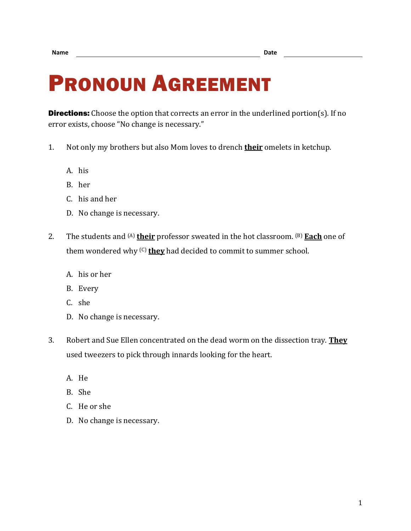## PRONOUN AGREEMENT

**Directions:** Choose the option that corrects an error in the underlined portion(s). If no error exists, choose "No change is necessary."

- 1. Not only my brothers but also Mom loves to drench **their** omelets in ketchup.
	- A. his
	- B. her
	- C. his and her
	- D. No change is necessary.
- 2. The students and (A) **their** professor sweated in the hot classroom. (B) **Each** one of them wondered why (C) **they** had decided to commit to summer school.
	- A. his or her
	- B. Every
	- C. she
	- D. No change is necessary.
- 3. Robert and Sue Ellen concentrated on the dead worm on the dissection tray. **They** used tweezers to pick through innards looking for the heart.
	- A. He
	- B. She
	- C. He or she
	- D. No change is necessary.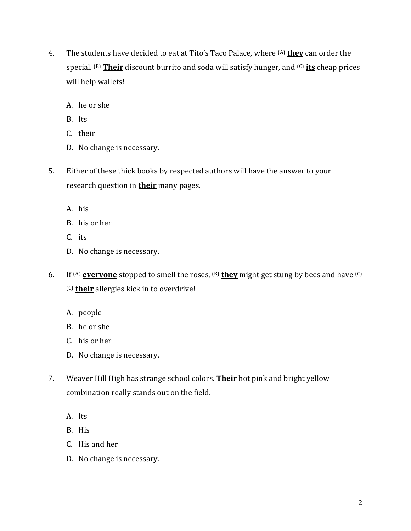- 4. The students have decided to eat at Tito's Taco Palace, where (A) **they** can order the special. (B) **Their** discount burrito and soda will satisfy hunger, and (C) **its** cheap prices will help wallets!
	- A. he or she
	- B. Its
	- C. their
	- D. No change is necessary.
- 5. Either of these thick books by respected authors will have the answer to your research question in **their** many pages.
	- A. his
	- B. his or her
	- C. its
	- D. No change is necessary.
- 6. If <sup>(A)</sup> **everyone** stopped to smell the roses, <sup>(B)</sup> they might get stung by bees and have <sup>(C)</sup> (C) **their** allergies kick in to overdrive!
	- A. people
	- B. he or she
	- C. his or her
	- D. No change is necessary.
- 7. Weaver Hill High has strange school colors. **Their** hot pink and bright yellow combination really stands out on the field.
	- A. Its
	- B. His
	- C. His and her
	- D. No change is necessary.